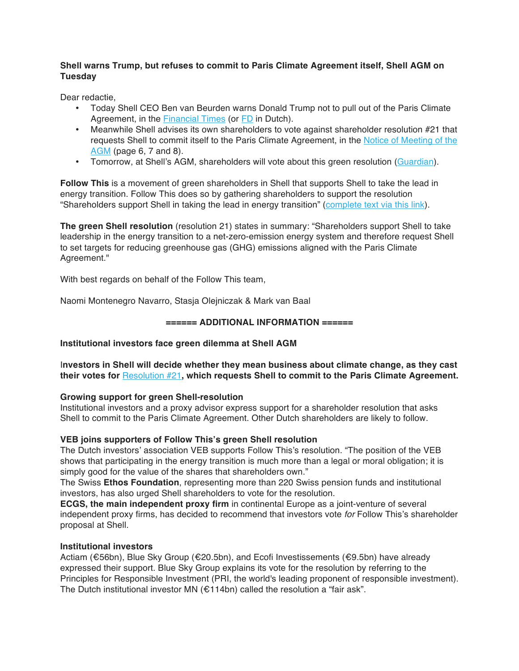## **Shell warns Trump, but refuses to commit to Paris Climate Agreement itself, Shell AGM on Tuesday**

Dear redactie,

- Today Shell CEO Ben van Beurden warns Donald Trump not to pull out of the Paris Climate Agreement, in the Financial Times (or FD in Dutch).
- Meanwhile Shell advises its own shareholders to vote against shareholder resolution #21 that requests Shell to commit itself to the Paris Climate Agreement, in the Notice of Meeting of the AGM (page 6, 7 and 8).
- Tomorrow, at Shell's AGM, shareholders will vote about this green resolution (Guardian).

**Follow This** is a movement of green shareholders in Shell that supports Shell to take the lead in energy transition. Follow This does so by gathering shareholders to support the resolution "Shareholders support Shell in taking the lead in energy transition" (complete text via this link).

**The green Shell resolution** (resolution 21) states in summary: "Shareholders support Shell to take leadership in the energy transition to a net-zero-emission energy system and therefore request Shell to set targets for reducing greenhouse gas (GHG) emissions aligned with the Paris Climate Agreement."

With best regards on behalf of the Follow This team,

Naomi Montenegro Navarro, Stasja Olejniczak & Mark van Baal

## **====== ADDITIONAL INFORMATION ======**

### **Institutional investors face green dilemma at Shell AGM**

I**nvestors in Shell will decide whether they mean business about climate change, as they cast their votes for** Resolution #21**, which requests Shell to commit to the Paris Climate Agreement.**

# **Growing support for green Shell-resolution**

Institutional investors and a proxy advisor express support for a shareholder resolution that asks Shell to commit to the Paris Climate Agreement. Other Dutch shareholders are likely to follow.

# **VEB joins supporters of Follow This's green Shell resolution**

The Dutch investors' association VEB supports Follow This's resolution. "The position of the VEB shows that participating in the energy transition is much more than a legal or moral obligation; it is simply good for the value of the shares that shareholders own."

The Swiss **Ethos Foundation**, representing more than 220 Swiss pension funds and institutional investors, has also urged Shell shareholders to vote for the resolution.

**ECGS, the main independent proxy firm** in continental Europe as a joint-venture of several independent proxy firms, has decided to recommend that investors vote *for* Follow This's shareholder proposal at Shell.

## **Institutional investors**

Actiam (€56bn), Blue Sky Group (€20.5bn), and Ecofi Investissements (€9.5bn) have already expressed their support. Blue Sky Group explains its vote for the resolution by referring to the Principles for Responsible Investment (PRI, the world's leading proponent of responsible investment). The Dutch institutional investor MN (€114bn) called the resolution a "fair ask".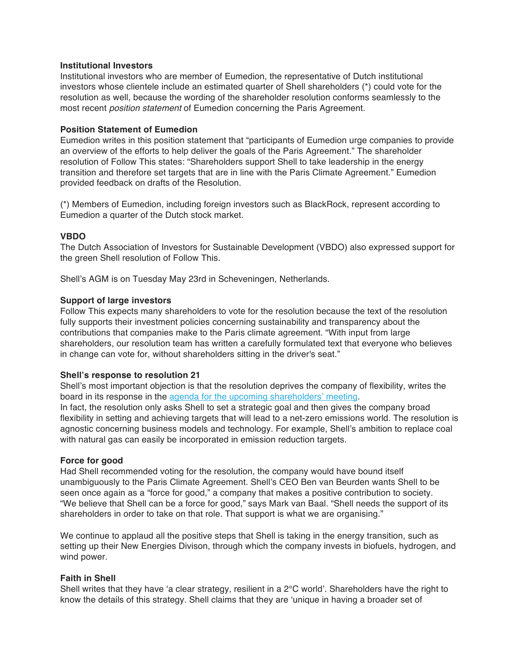### **Institutional Investors**

Institutional investors who are member of Eumedion, the representative of Dutch institutional investors whose clientele include an estimated quarter of Shell shareholders (\*) could vote for the resolution as well, because the wording of the shareholder resolution conforms seamlessly to the most recent *position statement* of Eumedion concerning the Paris Agreement.

### **Position Statement of Eumedion**

Eumedion writes in this position statement that "participants of Eumedion urge companies to provide an overview of the efforts to help deliver the goals of the Paris Agreement." The shareholder resolution of Follow This states: "Shareholders support Shell to take leadership in the energy transition and therefore set targets that are in line with the Paris Climate Agreement." Eumedion provided feedback on drafts of the Resolution.

(\*) Members of Eumedion, including foreign investors such as BlackRock, represent according to Eumedion a quarter of the Dutch stock market.

### **VBDO**

The Dutch Association of Investors for Sustainable Development (VBDO) also expressed support for the green Shell resolution of Follow This.

Shell's AGM is on Tuesday May 23rd in Scheveningen, Netherlands.

### **Support of large investors**

Follow This expects many shareholders to vote for the resolution because the text of the resolution fully supports their investment policies concerning sustainability and transparency about the contributions that companies make to the Paris climate agreement. "With input from large shareholders, our resolution team has written a carefully formulated text that everyone who believes in change can vote for, without shareholders sitting in the driver's seat."

#### **Shell's response to resolution 21**

Shell's most important objection is that the resolution deprives the company of flexibility, writes the board in its response in the agenda for the upcoming shareholders' meeting.

In fact, the resolution only asks Shell to set a strategic goal and then gives the company broad flexibility in setting and achieving targets that will lead to a net-zero emissions world. The resolution is agnostic concerning business models and technology. For example, Shell's ambition to replace coal with natural gas can easily be incorporated in emission reduction targets.

#### **Force for good**

Had Shell recommended voting for the resolution, the company would have bound itself unambiguously to the Paris Climate Agreement. Shell's CEO Ben van Beurden wants Shell to be seen once again as a "force for good," a company that makes a positive contribution to society. "We believe that Shell can be a force for good," says Mark van Baal. "Shell needs the support of its shareholders in order to take on that role. That support is what we are organising."

We continue to applaud all the positive steps that Shell is taking in the energy transition, such as setting up their New Energies Divison, through which the company invests in biofuels, hydrogen, and wind power.

#### **Faith in Shell**

Shell writes that they have 'a clear strategy, resilient in a  $2^{\circ}$ C world'. Shareholders have the right to know the details of this strategy. Shell claims that they are 'unique in having a broader set of